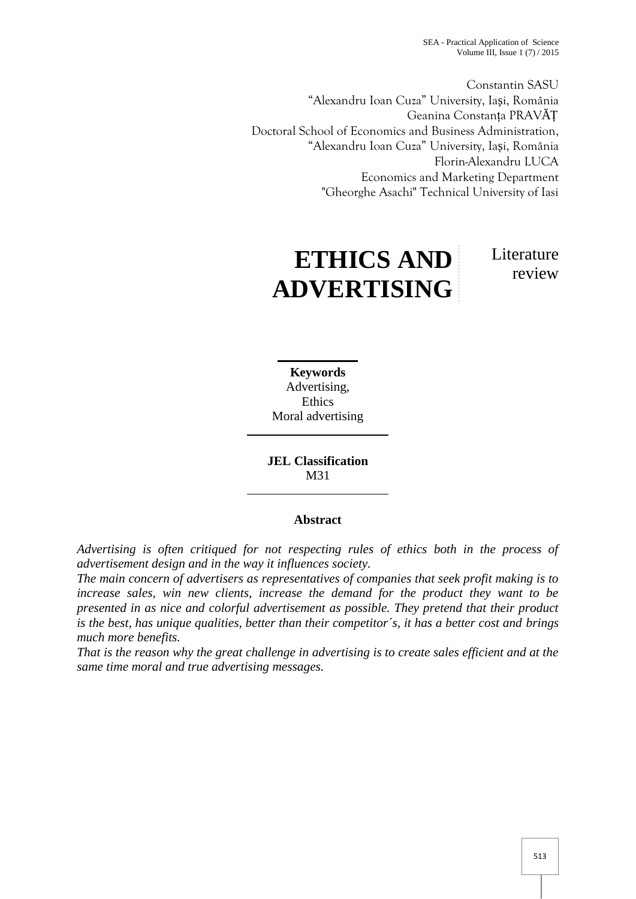SEA - Practical Application of Science Volume III, Issue  $1(7)/2015$ 

Constantin SASU "Alexandru Ioan Cuza" University, Ia i, România Geanina Constanța PRAV Ț Doctoral School of Economics and Business Administration, "Alexandru Ioan Cuza" University, Ia i, România Florin-Alexandru LUCA Economics and Marketing Department "Gheorghe Asachi" Technical University of Iasi

**ETHICS AND**

**ADVERTISING**

Literature review

**Keywords** Advertising, Ethics

Moral advertising

**JEL Classification** M31

# **Abstract**

*Advertising is often critiqued for not respecting rules of ethics both in the process of advertisement design and in the way it influences society.*

*The main concern of advertisers as representatives of companies that seek profit making is to increase sales, win new clients, increase the demand for the product they want to be presented in as nice and colorful advertisement as possible. They pretend that their product is the best, has unique qualities, better than their competitor´s, it has a better cost and brings much more benefits.*

*That is the reason why the great challenge in advertising is to create sales efficient and at the same time moral and true advertising messages.*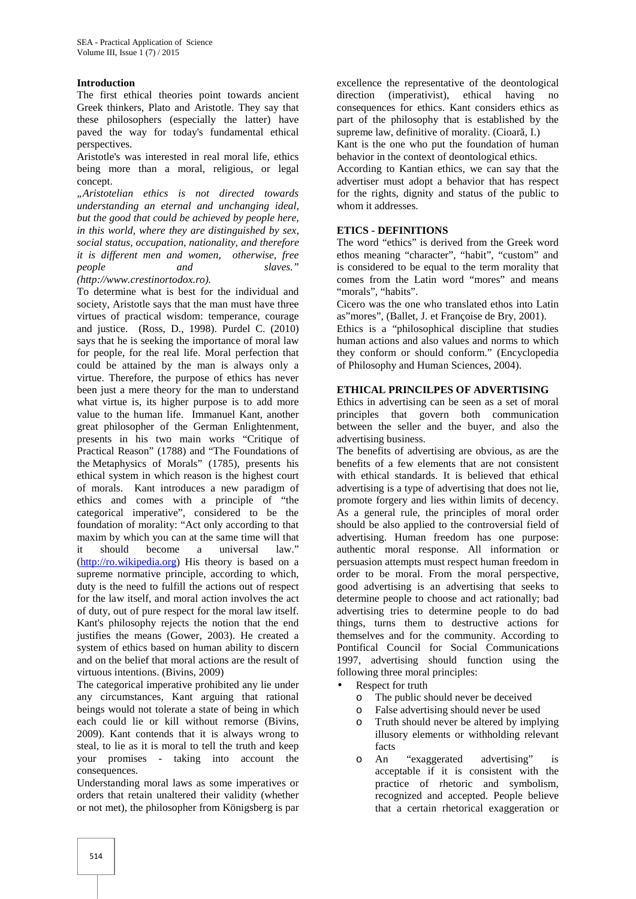#### **Introduction**

The first ethical theories point towards ancient Greek thinkers, Plato and Aristotle. They say that these philosophers (especially the latter) have paved the way for today's fundamental ethical perspectives.

Aristotle's was interested in real moral life, ethics being more than a moral, religious, or legal concept.

*"Aristotelian ethics is not directed towards understanding an eternal and unchanging ideal, but the good that could be achieved by people here, in this world, where they are distinguished by sex, social status, occupation, nationality, and therefore it is different men and women, otherwise, free people and slaves." (http://www.crestinortodox.ro).*

To determine what is best for the individual and society, Aristotle says that the man must have three virtues of practical wisdom: temperance, courage and justice. (Ross, D., 1998). Purdel C. (2010) says that he is seeking the importance of moral law for people, for the real life. Moral perfection that could be attained by the man is always only a virtue. Therefore, the purpose of ethics has never been just a mere theory for the man to understand what virtue is, its higher purpose is to add more value to the human life. Immanuel Kant, another great philosopher of the German Enlightenment, presents in his two main works "Critique of Practical Reason" (1788) and "The Foundations of the Metaphysics of Morals" (1785), presents his ethical system in which reason is the highest court of morals. Kant introduces a new paradigm of ethics and comes with a principle of "the categorical imperative", considered to be the foundation of morality: "Act only according to that maxim by which you can at the same time will that it should become a universal law." (http://ro.wikipedia.org) His theory is based on a supreme normative principle, according to which, duty is the need to fulfill the actions out of respect for the law itself, and moral action involves the act of duty, out of pure respect for the moral law itself. Kant's philosophy rejects the notion that the end justifies the means (Gower, 2003). He created a system of ethics based on human ability to discern and on the belief that moral actions are the result of virtuous intentions. (Bivins, 2009)

The categorical imperative prohibited any lie under any circumstances, Kant arguing that rational beings would not tolerate a state of being in which each could lie or kill without remorse (Bivins, 2009). Kant contends that it is always wrong to steal, to lie as it is moral to tell the truth and keep your promises - taking into account the consequences.

Understanding moral laws as some imperatives or orders that retain unaltered their validity (whether or not met), the philosopher from Königsberg is par excellence the representative of the deontological direction (imperativist), ethical having no consequences for ethics. Kant considers ethics as part of the philosophy that is established by the supreme law, definitive of morality. (Cioar, I.)

Kant is the one who put the foundation of human behavior in the context of deontological ethics.

According to Kantian ethics, we can say that the advertiser must adopt a behavior that has respect for the rights, dignity and status of the public to whom it addresses.

#### **ETICS - DEFINITIONS**

The word "ethics" is derived from the Greek word ethos meaning "character", "habit", "custom" and is considered to be equal to the term morality that comes from the Latin word "mores" and means "morals", "habits".

Cicero was the one who translated ethos into Latin as"mores", (Ballet, J. et Françoise de Bry, 2001).

Ethics is a "philosophical discipline that studies human actions and also values and norms to which they conform or should conform." (Encyclopedia of Philosophy and Human Sciences, 2004).

#### **ETHICAL PRINCILPES OF ADVERTISING**

Ethics in advertising can be seen as a set of moral principles that govern both communication between the seller and the buyer, and also the advertising business.

The benefits of advertising are obvious, as are the benefits of a few elements that are not consistent with ethical standards. It is believed that ethical advertising is a type of advertising that does not lie, promote forgery and lies within limits of decency. As a general rule, the principles of moral order should be also applied to the controversial field of advertising. Human freedom has one purpose: authentic moral response. All information or persuasion attempts must respect human freedom in order to be moral. From the moral perspective, good advertising is an advertising that seeks to determine people to choose and act rationally; bad advertising tries to determine people to do bad things, turns them to destructive actions for themselves and for the community. According to Pontifical Council for Social Communications 1997, advertising should function using the following three moral principles:

- Respect for truth
	- o The public should never be deceived
	- o False advertising should never be used
	- o Truth should never be altered by implying illusory elements or withholding relevant facts
	- o An "exaggerated advertising" is acceptable if it is consistent with the practice of rhetoric and symbolism, recognized and accepted. People believe that a certain rhetorical exaggeration or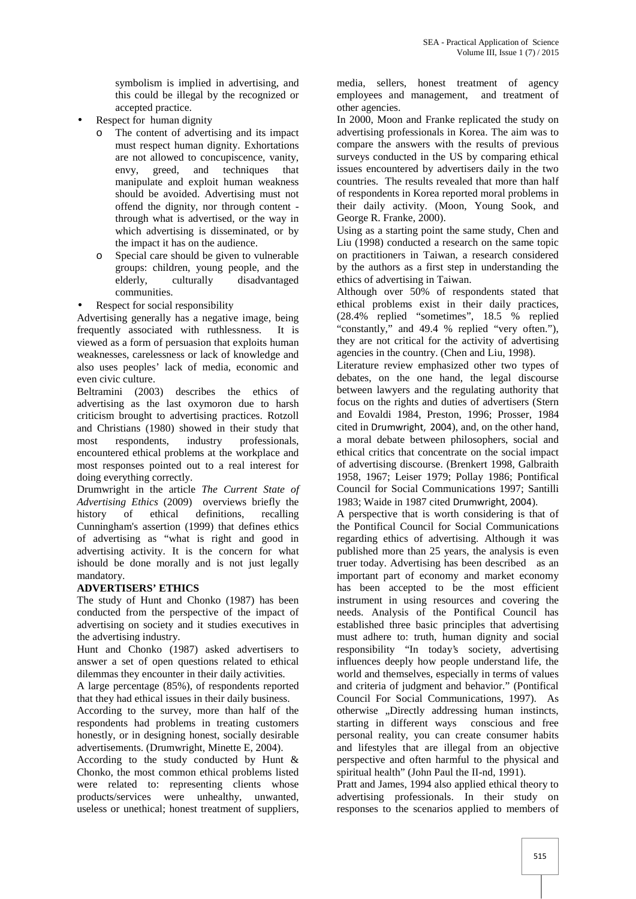symbolism is implied in advertising, and this could be illegal by the recognized or accepted practice.

- Respect for human dignity
	- o The content of advertising and its impact must respect human dignity. Exhortations are not allowed to concupiscence, vanity, envy, greed, and techniques that manipulate and exploit human weakness should be avoided. Advertising must not offend the dignity, nor through content through what is advertised, or the way in which advertising is disseminated, or by the impact it has on the audience.
	- o Special care should be given to vulnerable groups: children, young people, and the elderly, culturally disadvantaged communities.
- Respect for social responsibility

Advertising generally has a negative image, being frequently associated with ruthlessness. It is viewed as a form of persuasion that exploits human weaknesses, carelessness or lack of knowledge and also uses peoples' lack of media, economic and even civic culture.

Beltramini (2003) describes the ethics of advertising as the last oxymoron due to harsh criticism brought to advertising practices. Rotzoll and Christians (1980) showed in their study that most respondents, industry professionals, encountered ethical problems at the workplace and most responses pointed out to a real interest for doing everything correctly.

Drumwright in the article *The Current State of Advertising Ethics* (2009) overviews briefly the history of ethical definitions, recalling Cunningham's assertion (1999) that defines ethics of advertising as "what is right and good in advertising activity. It is the concern for what ishould be done morally and is not just legally mandatory.

## **ADVERTISERS' ETHICS**

The study of Hunt and Chonko (1987) has been conducted from the perspective of the impact of advertising on society and it studies executives in the advertising industry.

Hunt and Chonko (1987) asked advertisers to answer a set of open questions related to ethical dilemmas they encounter in their daily activities.

A large percentage (85%), of respondents reported that they had ethical issues in their daily business.

According to the survey, more than half of the respondents had problems in treating customers honestly, or in designing honest, socially desirable advertisements. (Drumwright, Minette E, 2004).

According to the study conducted by Hunt & Chonko, the most common ethical problems listed were related to: representing clients whose products/services were unhealthy, unwanted, useless or unethical; honest treatment of suppliers,

media, sellers, honest treatment of agency employees and management, and treatment of other agencies.

In 2000, Moon and Franke replicated the study on advertising professionals in Korea. The aim was to compare the answers with the results of previous surveys conducted in the US by comparing ethical issues encountered by advertisers daily in the two countries. The results revealed that more than half of respondents in Korea reported moral problems in their daily activity. (Moon, Young Sook, and George R. Franke, 2000).

Using as a starting point the same study, Chen and Liu (1998) conducted a research on the same topic on practitioners in Taiwan, a research considered by the authors as a first step in understanding the ethics of advertising in Taiwan.

Although over 50% of respondents stated that ethical problems exist in their daily practices, (28.4% replied "sometimes", 18.5 % replied "constantly," and 49.4 % replied "very often."), they are not critical for the activity of advertising agencies in the country. (Chen and Liu, 1998).

Literature review emphasized other two types of debates, on the one hand, the legal discourse between lawyers and the regulating authority that focus on the rights and duties of advertisers (Stern and Eovaldi 1984, Preston, 1996; Prosser, 1984 cited in Drumwright, 2004), and, on the other hand, a moral debate between philosophers, social and ethical critics that concentrate on the social impact of advertising discourse. (Brenkert 1998, Galbraith 1958, 1967; Leiser 1979; Pollay 1986; Pontifical Council for Social Communications 1997; Santilli 1983; Waide in 1987 cited Drumwright, 2004).

A perspective that is worth considering is that of the Pontifical Council for Social Communications regarding ethics of advertising. Although it was published more than 25 years, the analysis is even truer today. Advertising has been described as an important part of economy and market economy has been accepted to be the most efficient instrument in using resources and covering the needs. Analysis of the Pontifical Council has established three basic principles that advertising must adhere to: truth, human dignity and social responsibility "In today's society, advertising influences deeply how people understand life, the world and themselves, especially in terms of values and criteria of judgment and behavior." (Pontifical Council For Social Communications, 1997). As otherwise "Directly addressing human instincts, starting in different ways conscious and free personal reality, you can create consumer habits and lifestyles that are illegal from an objective perspective and often harmful to the physical and spiritual health" (John Paul the II-nd, 1991).

Pratt and James, 1994 also applied ethical theory to advertising professionals. In their study on responses to the scenarios applied to members of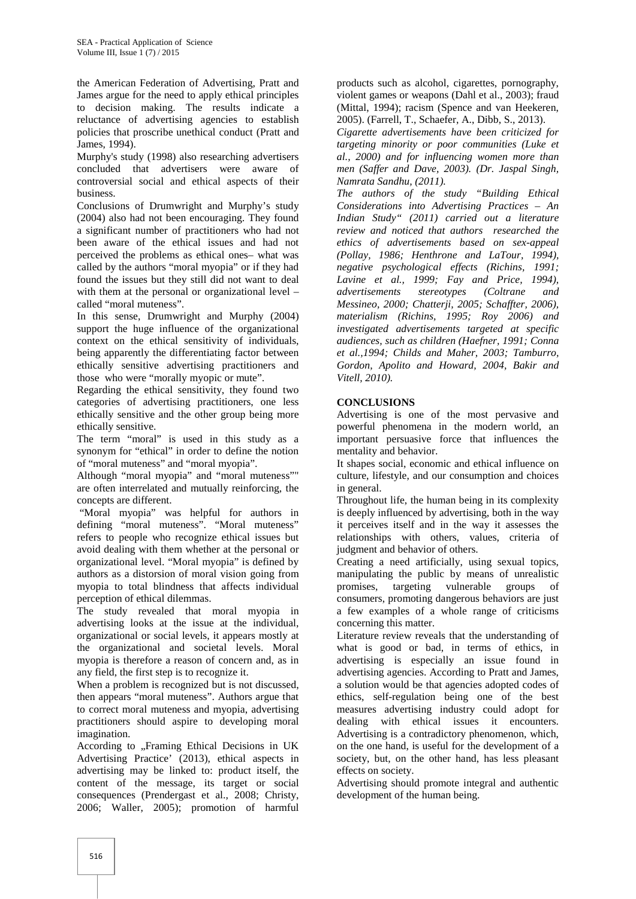the American Federation of Advertising, Pratt and James argue for the need to apply ethical principles to decision making. The results indicate a reluctance of advertising agencies to establish policies that proscribe unethical conduct (Pratt and James, 1994).

Murphy's study (1998) also researching advertisers concluded that advertisers were aware of controversial social and ethical aspects of their business.

Conclusions of Drumwright and Murphy's study (2004) also had not been encouraging. They found a significant number of practitioners who had not been aware of the ethical issues and had not perceived the problems as ethical ones– what was called by the authors "moral myopia" or if they had found the issues but they still did not want to deal with them at the personal or organizational level – called "moral muteness".

In this sense, Drumwright and Murphy (2004) support the huge influence of the organizational context on the ethical sensitivity of individuals, being apparently the differentiating factor between ethically sensitive advertising practitioners and those who were "morally myopic or mute".

Regarding the ethical sensitivity, they found two categories of advertising practitioners, one less ethically sensitive and the other group being more ethically sensitive.

The term "moral" is used in this study as a synonym for "ethical" in order to define the notion of "moral muteness" and "moral myopia".

Although "moral myopia" and "moral muteness"" are often interrelated and mutually reinforcing, the concepts are different.

"Moral myopia" was helpful for authors in defining "moral muteness". "Moral muteness" refers to people who recognize ethical issues but avoid dealing with them whether at the personal or organizational level. "Moral myopia" is defined by authors as a distorsion of moral vision going from myopia to total blindness that affects individual perception of ethical dilemmas.

The study revealed that moral myopia in advertising looks at the issue at the individual, organizational or social levels, it appears mostly at the organizational and societal levels. Moral myopia is therefore a reason of concern and, as in any field, the first step is to recognize it.

When a problem is recognized but is not discussed, then appears "moral muteness". Authors argue that to correct moral muteness and myopia, advertising practitioners should aspire to developing moral imagination.

According to ..Framing Ethical Decisions in UK Advertising Practice' (2013), ethical aspects in advertising may be linked to: product itself, the content of the message, its target or social consequences (Prendergast et al., 2008; Christy, 2006; Waller, 2005); promotion of harmful

products such as alcohol, cigarettes, pornography, violent games or weapons (Dahl et al., 2003); fraud (Mittal, 1994); racism (Spence and van Heekeren, 2005). (Farrell, T., Schaefer, A., Dibb, S., 2013).

*Cigarette advertisements have been criticized for targeting minority or poor communities (Luke et al., 2000) and for influencing women more than men (Saffer and Dave, 2003). (Dr. Jaspal Singh, Namrata Sandhu, (2011).*

*The authors of the study "Building Ethical Considerations into Advertising Practices – An Indian Study" (2011) carried out a literature review and noticed that authors researched the ethics of advertisements based on sex-appeal (Pollay, 1986; Henthrone and LaTour, 1994), negative psychological effects (Richins, 1991; Lavine et al., 1999; Fay and Price, 1994), advertisements stereotypes (Coltrane and Messineo, 2000; Chatterji, 2005; Schaffter, 2006), materialism (Richins, 1995; Roy 2006) and investigated advertisements targeted at specific audiences, such as children (Haefner, 1991; Conna et al.,1994; Childs and Maher, 2003; Tamburro, Gordon, Apolito and Howard, 2004, Bakir and Vitell, 2010).*

### **CONCLUSIONS**

Advertising is one of the most pervasive and powerful phenomena in the modern world, an important persuasive force that influences the mentality and behavior.

It shapes social, economic and ethical influence on culture, lifestyle, and our consumption and choices in general.

Throughout life, the human being in its complexity is deeply influenced by advertising, both in the way it perceives itself and in the way it assesses the relationships with others, values, criteria of judgment and behavior of others.

Creating a need artificially, using sexual topics, manipulating the public by means of unrealistic promises, targeting vulnerable groups of consumers, promoting dangerous behaviors are just a few examples of a whole range of criticisms concerning this matter.

Literature review reveals that the understanding of what is good or bad, in terms of ethics, in advertising is especially an issue found in advertising agencies. According to Pratt and James, a solution would be that agencies adopted codes of ethics, self-regulation being one of the best measures advertising industry could adopt for dealing with ethical issues it encounters. Advertising is a contradictory phenomenon, which, on the one hand, is useful for the development of a society, but, on the other hand, has less pleasant effects on society.

Advertising should promote integral and authentic development of the human being.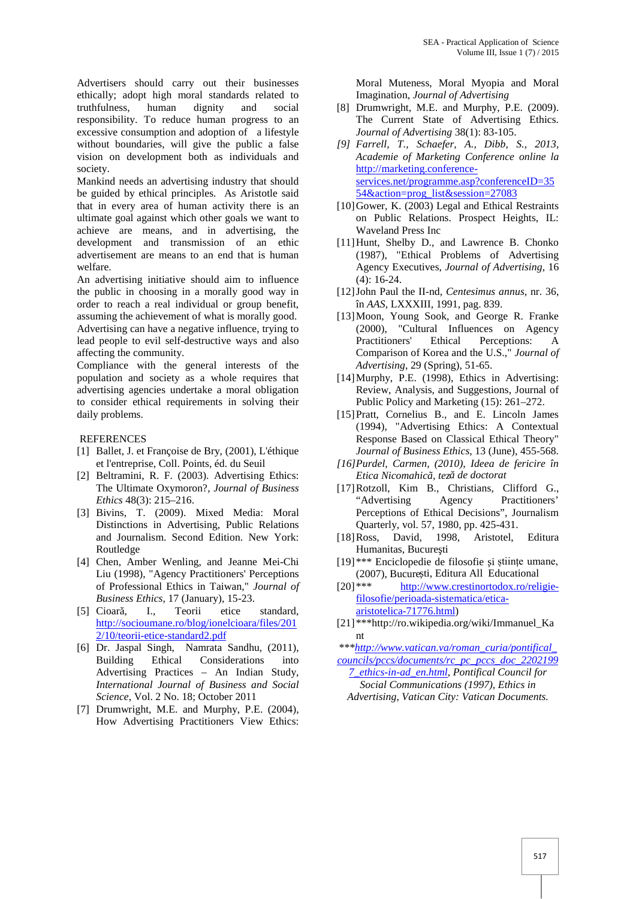Advertisers should carry out their businesses ethically; adopt high moral standards related to truthfulness, human dignity and social responsibility. To reduce human progress to an excessive consumption and adoption of a lifestyle without boundaries, will give the public a false vision on development both as individuals and society.

Mankind needs an advertising industry that should be guided by ethical principles. As Aristotle said that in every area of human activity there is an ultimate goal against which other goals we want to achieve are means, and in advertising, the development and transmission of an ethic advertisement are means to an end that is human welfare.

An advertising initiative should aim to influence the public in choosing in a morally good way in order to reach a real individual or group benefit, assuming the achievement of what is morally good. Advertising can have a negative influence, trying to lead people to evil self-destructive ways and also affecting the community.

Compliance with the general interests of the population and society as a whole requires that advertising agencies undertake a moral obligation to consider ethical requirements in solving their daily problems.

#### **REFERENCES**

- [1] Ballet, J. et Françoise de Bry, (2001), L'éthique et l'entreprise, Coll. Points, éd. du Seuil
- [2] Beltramini, R. F. (2003). Advertising Ethics: The Ultimate Oxymoron?, *Journal of Business Ethics* 48(3): 215–216.
- [3] Bivins, T. (2009). Mixed Media: Moral Distinctions in Advertising, Public Relations and Journalism. Second Edition. New York: Routledge
- [4] Chen, Amber Wenling, and Jeanne Mei-Chi Liu (1998), "Agency Practitioners' Perceptions of Professional Ethics in Taiwan," *Journal of Business Ethics*, 17 (January), 15-23.
- [5] Cioar, I., Teorii etice standard, http://socioumane.ro/blog/ionelcioara/files/201 2/10/teorii-etice-standard2.pdf
- [6] Dr. Jaspal Singh, Namrata Sandhu, (2011), Building Ethical Considerations into Advertising Practices – An Indian Study, *International Journal of Business and Social Science*, Vol. 2 No. 18; October 2011
- [7] Drumwright, M.E. and Murphy, P.E. (2004), How Advertising Practitioners View Ethics:

Moral Muteness, Moral Myopia and Moral Imagination, *Journal of Advertising*

- [8] Drumwright, M.E. and Murphy, P.E. (2009). The Current State of Advertising Ethics. *Journal of Advertising* 38(1): 83-105.
- *[9] Farrell, T., Schaefer, A., Dibb, S., 2013, Academie of Marketing Conference online la* http://marketing.conference services.net/programme.asp?conferenceID=35 54&action=prog\_list&session=27083
- [10] Gower, K. (2003) Legal and Ethical Restraints on Public Relations. Prospect Heights, IL: Waveland Press Inc
- [11]Hunt, Shelby D., and Lawrence B. Chonko (1987), "Ethical Problems of Advertising Agency Executives, *Journal of Advertising*, 16 (4): 16-24.
- [12]John Paul the II-nd, *Centesimus annus*, nr. 36, în *AAS*, LXXXIII, 1991, pag. 839.
- [13]Moon, Young Sook, and George R. Franke (2000), "Cultural Influences on Agency Practitioners' Ethical Perceptions: A Comparison of Korea and the U.S.," *Journal of Advertising*, 29 (Spring), 51-65.
- [14] Murphy, P.E. (1998), Ethics in Advertising: Review, Analysis, and Suggestions, Journal of Public Policy and Marketing (15): 261–272.
- [15]Pratt, Cornelius B., and E. Lincoln James (1994), "Advertising Ethics: A Contextual Response Based on Classical Ethical Theory" *Journal of Business Ethics*, 13 (June), 455-568.
- *[16]Purdel, Carmen, (2010), Ideea de fericire în Etica Nicomahicã, teză de doctorat*
- [17]Rotzoll, Kim B., Christians, Clifford G., "Advertising Agency Practitioners' Perceptions of Ethical Decisions", Journalism Quarterly, vol. 57, 1980, pp. 425-431.
- [18]Ross, David, 1998, Aristotel, Editura Humanitas, Bucure ti
- [19] \*\*\* Enciclopedie de filosofie i științe umane, (2007), Bucure ti, Editura All Educational
- [20] \*\*\* http://www.crestinortodox.ro/religiefilosofie/perioada-sistematica/etica aristotelica-71776.html)
- [21] \*\*\*http://ro.wikipedia.org/wiki/Immanuel\_Ka nt

*\*\*\*http://www.vatican.va/roman\_curia/pontifical\_*

*councils/pccs/documents/rc\_pc\_pccs\_doc\_2202199 7\_ethics-in-ad\_en.html, Pontifical Council for Social Communications (1997), Ethics in*

*Advertising, Vatican City: Vatican Documents.*